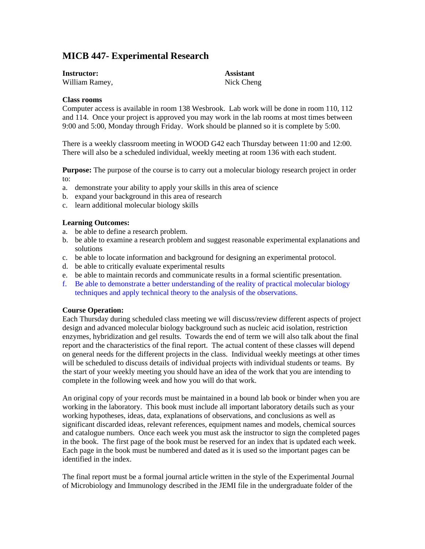# **MICB 447- Experimental Research**

| <b>Instructor:</b> | <b>Assistant</b> |
|--------------------|------------------|
| William Ramey,     | Nick Cheng       |

## **Class rooms**

Computer access is available in room 138 Wesbrook. Lab work will be done in room 110, 112 and 114. Once your project is approved you may work in the lab rooms at most times between 9:00 and 5:00, Monday through Friday. Work should be planned so it is complete by 5:00.

There is a weekly classroom meeting in WOOD G42 each Thursday between 11:00 and 12:00. There will also be a scheduled individual, weekly meeting at room 136 with each student.

**Purpose:** The purpose of the course is to carry out a molecular biology research project in order to:

- a. demonstrate your ability to apply your skills in this area of science
- b. expand your background in this area of research
- c. learn additional molecular biology skills

## **Learning Outcomes:**

- a. be able to define a research problem.
- b. be able to examine a research problem and suggest reasonable experimental explanations and solutions
- c. be able to locate information and background for designing an experimental protocol.
- d. be able to critically evaluate experimental results
- e. be able to maintain records and communicate results in a formal scientific presentation.
- f. Be able to demonstrate a better understanding of the reality of practical molecular biology techniques and apply technical theory to the analysis of the observations.

#### **Course Operation:**

Each Thursday during scheduled class meeting we will discuss/review different aspects of project design and advanced molecular biology background such as nucleic acid isolation, restriction enzymes, hybridization and gel results. Towards the end of term we will also talk about the final report and the characteristics of the final report. The actual content of these classes will depend on general needs for the different projects in the class. Individual weekly meetings at other times will be scheduled to discuss details of individual projects with individual students or teams. By the start of your weekly meeting you should have an idea of the work that you are intending to complete in the following week and how you will do that work.

An original copy of your records must be maintained in a bound lab book or binder when you are working in the laboratory. This book must include all important laboratory details such as your working hypotheses, ideas, data, explanations of observations, and conclusions as well as significant discarded ideas, relevant references, equipment names and models, chemical sources and catalogue numbers. Once each week you must ask the instructor to sign the completed pages in the book. The first page of the book must be reserved for an index that is updated each week. Each page in the book must be numbered and dated as it is used so the important pages can be identified in the index.

The final report must be a formal journal article written in the style of the Experimental Journal of Microbiology and Immunology described in the JEMI file in the undergraduate folder of the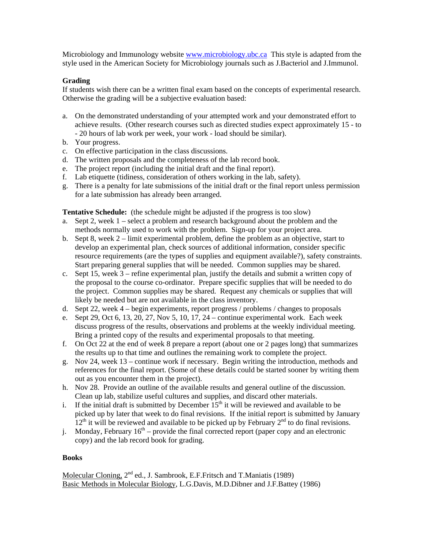Microbiology and Immunology website [www.microbiology.ubc.ca](http://www.microbiology.ubc.ca/) This style is adapted from the style used in the American Society for Microbiology journals such as J.Bacteriol and J.Immunol.

# **Grading**

If students wish there can be a written final exam based on the concepts of experimental research. Otherwise the grading will be a subjective evaluation based:

- a. On the demonstrated understanding of your attempted work and your demonstrated effort to achieve results. (Other research courses such as directed studies expect approximately 15 - to - 20 hours of lab work per week, your work - load should be similar).
- b. Your progress.
- c. On effective participation in the class discussions.
- d. The written proposals and the completeness of the lab record book.
- e. The project report (including the initial draft and the final report).
- f. Lab etiquette (tidiness, consideration of others working in the lab, safety).
- g. There is a penalty for late submissions of the initial draft or the final report unless permission for a late submission has already been arranged.

**Tentative Schedule:** (the schedule might be adjusted if the progress is too slow)

- a. Sept 2, week 1 select a problem and research background about the problem and the methods normally used to work with the problem. Sign-up for your project area.
- b. Sept 8, week 2 limit experimental problem, define the problem as an objective, start to develop an experimental plan, check sources of additional information, consider specific resource requirements (are the types of supplies and equipment available?), safety constraints. Start preparing general supplies that will be needed. Common supplies may be shared.
- c. Sept 15, week 3 refine experimental plan, justify the details and submit a written copy of the proposal to the course co-ordinator. Prepare specific supplies that will be needed to do the project. Common supplies may be shared. Request any chemicals or supplies that will likely be needed but are not available in the class inventory.
- d. Sept 22, week 4 begin experiments, report progress / problems / changes to proposals
- e. Sept 29, Oct 6, 13, 20, 27, Nov 5, 10, 17, 24 continue experimental work. Each week discuss progress of the results, observations and problems at the weekly individual meeting. Bring a printed copy of the results and experimental proposals to that meeting.
- f. On Oct 22 at the end of week 8 prepare a report (about one or 2 pages long) that summarizes the results up to that time and outlines the remaining work to complete the project.
- g. Nov 24, week 13 continue work if necessary. Begin writing the introduction, methods and references for the final report. (Some of these details could be started sooner by writing them out as you encounter them in the project).
- h. Nov 28. Provide an outline of the available results and general outline of the discussion. Clean up lab, stabilize useful cultures and supplies, and discard other materials.
- i. If the initial draft is submitted by December  $15<sup>th</sup>$  it will be reviewed and available to be picked up by later that week to do final revisions. If the initial report is submitted by January  $12<sup>th</sup>$  it will be reviewed and available to be picked up by February  $2<sup>nd</sup>$  to do final revisions.
- j. Monday, February  $16<sup>th</sup>$  provide the final corrected report (paper copy and an electronic copy) and the lab record book for grading.

# **Books**

Molecular Cloning,  $2^{nd}$  ed., J. Sambrook, E.F. Fritsch and T. Maniatis (1989) Basic Methods in Molecular Biology, L.G.Davis, M.D.Dibner and J.F.Battey (1986)